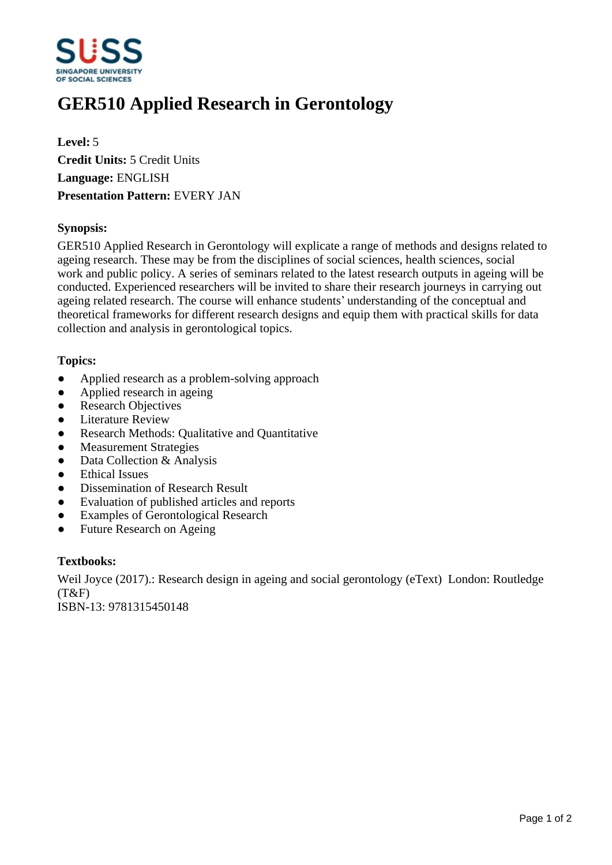

# **GER510 Applied Research in Gerontology**

**Level:** 5 **Credit Units:** 5 Credit Units **Language:** ENGLISH **Presentation Pattern:** EVERY JAN

#### **Synopsis:**

GER510 Applied Research in Gerontology will explicate a range of methods and designs related to ageing research. These may be from the disciplines of social sciences, health sciences, social work and public policy. A series of seminars related to the latest research outputs in ageing will be conducted. Experienced researchers will be invited to share their research journeys in carrying out ageing related research. The course will enhance students' understanding of the conceptual and theoretical frameworks for different research designs and equip them with practical skills for data collection and analysis in gerontological topics.

#### **Topics:**

- Applied research as a problem-solving approach
- Applied research in ageing
- Research Objectives
- ƔLiterature Review
- Research Methods: Qualitative and Quantitative
- Measurement Strategies
- Data Collection & Analysis
- Ethical Issues
- Dissemination of Research Result
- Evaluation of published articles and reports
- Examples of Gerontological Research
- Future Research on Ageing

#### **Textbooks:**

Weil Joyce (2017).: Research design in ageing and social gerontology (eText) London: Routledge  $(T&F)$ 

ISBN-13: 9781315450148